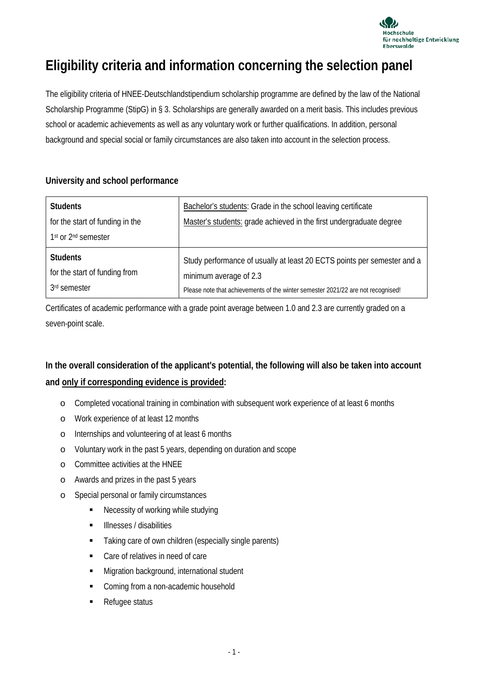

## **Eligibility criteria and information concerning the selection panel**

The eligibility criteria of HNEE-Deutschlandstipendium scholarship programme are defined by the law of the National Scholarship Programme (StipG) in § 3. Scholarships are generally awarded on a merit basis. This includes previous school or academic achievements as well as any voluntary work or further qualifications. In addition, personal background and special social or family circumstances are also taken into account in the selection process.

## **University and school performance**

| <b>Students</b>                             | Bachelor's students: Grade in the school leaving certificate                     |
|---------------------------------------------|----------------------------------------------------------------------------------|
| for the start of funding in the             | Master's students: grade achieved in the first undergraduate degree              |
| 1 <sup>st</sup> or 2 <sup>nd</sup> semester |                                                                                  |
| <b>Students</b>                             | Study performance of usually at least 20 ECTS points per semester and a          |
| for the start of funding from               | minimum average of 2.3                                                           |
| 3rd semester                                | Please note that achievements of the winter semester 2021/22 are not recognised! |

Certificates of academic performance with a grade point average between 1.0 and 2.3 are currently graded on a seven-point scale.

## **In the overall consideration of the applicant's potential, the following will also be taken into account and only if corresponding evidence is provided:**

- o Completed vocational training in combination with subsequent work experience of at least 6 months
- o Work experience of at least 12 months
- o Internships and volunteering of at least 6 months
- o Voluntary work in the past 5 years, depending on duration and scope
- o Committee activities at the HNEE
- o Awards and prizes in the past 5 years
- o Special personal or family circumstances
	- Necessity of working while studying
	- Illnesses / disabilities
	- **Taking care of own children (especially single parents)**
	- Care of relatives in need of care
	- **Migration background, international student**
	- Coming from a non-academic household
	- Refugee status